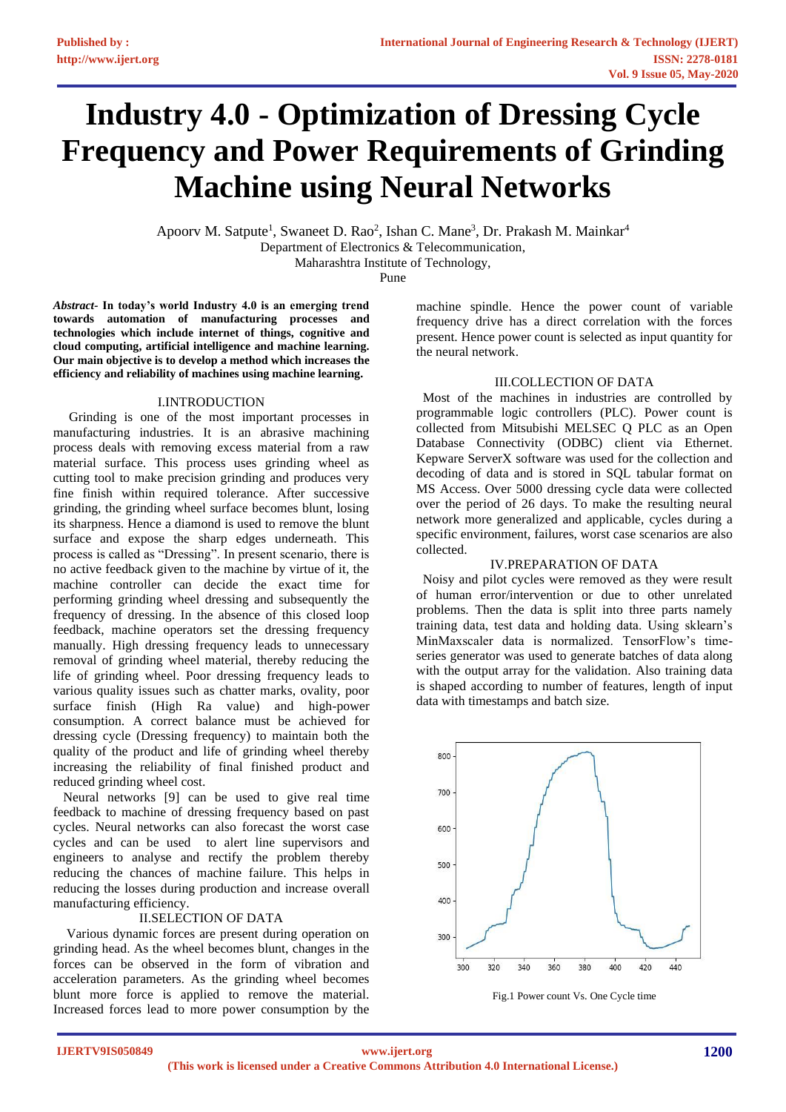# **Industry 4.0 - Optimization of Dressing Cycle Frequency and Power Requirements of Grinding Machine using Neural Networks**

Apoorv M. Satpute<sup>1</sup>, Swaneet D. Rao<sup>2</sup>, Ishan C. Mane<sup>3</sup>, Dr. Prakash M. Mainkar<sup>4</sup> Department of Electronics & Telecommunication, Maharashtra Institute of Technology,

Pune

*Abstract-* **In today's world Industry 4.0 is an emerging trend towards automation of manufacturing processes and technologies which include internet of things, cognitive and cloud computing, artificial intelligence and machine learning. Our main objective is to develop a method which increases the efficiency and reliability of machines using machine learning.**

# I.INTRODUCTION

 Grinding is one of the most important processes in manufacturing industries. It is an abrasive machining process deals with removing excess material from a raw material surface. This process uses grinding wheel as cutting tool to make precision grinding and produces very fine finish within required tolerance. After successive grinding, the grinding wheel surface becomes blunt, losing its sharpness. Hence a diamond is used to remove the blunt surface and expose the sharp edges underneath. This process is called as "Dressing". In present scenario, there is no active feedback given to the machine by virtue of it, the machine controller can decide the exact time for performing grinding wheel dressing and subsequently the frequency of dressing. In the absence of this closed loop feedback, machine operators set the dressing frequency manually. High dressing frequency leads to unnecessary removal of grinding wheel material, thereby reducing the life of grinding wheel. Poor dressing frequency leads to various quality issues such as chatter marks, ovality, poor surface finish (High Ra value) and high-power consumption. A correct balance must be achieved for dressing cycle (Dressing frequency) to maintain both the quality of the product and life of grinding wheel thereby increasing the reliability of final finished product and reduced grinding wheel cost.

 Neural networks [9] can be used to give real time feedback to machine of dressing frequency based on past cycles. Neural networks can also forecast the worst case cycles and can be used to alert line supervisors and engineers to analyse and rectify the problem thereby reducing the chances of machine failure. This helps in reducing the losses during production and increase overall manufacturing efficiency.

# II.SELECTION OF DATA

 Various dynamic forces are present during operation on grinding head. As the wheel becomes blunt, changes in the forces can be observed in the form of vibration and acceleration parameters. As the grinding wheel becomes blunt more force is applied to remove the material. Increased forces lead to more power consumption by the

machine spindle. Hence the power count of variable frequency drive has a direct correlation with the forces present. Hence power count is selected as input quantity for the neural network.

## III.COLLECTION OF DATA

 Most of the machines in industries are controlled by programmable logic controllers (PLC). Power count is collected from Mitsubishi MELSEC Q PLC as an Open Database Connectivity (ODBC) client via Ethernet. Kepware ServerX software was used for the collection and decoding of data and is stored in SQL tabular format on MS Access. Over 5000 dressing cycle data were collected over the period of 26 days. To make the resulting neural network more generalized and applicable, cycles during a specific environment, failures, worst case scenarios are also collected.

## IV.PREPARATION OF DATA

 Noisy and pilot cycles were removed as they were result of human error/intervention or due to other unrelated problems. Then the data is split into three parts namely training data, test data and holding data. Using sklearn's MinMaxscaler data is normalized. TensorFlow's timeseries generator was used to generate batches of data along with the output array for the validation. Also training data is shaped according to number of features, length of input data with timestamps and batch size.



Fig.1 Power count Vs. One Cycle time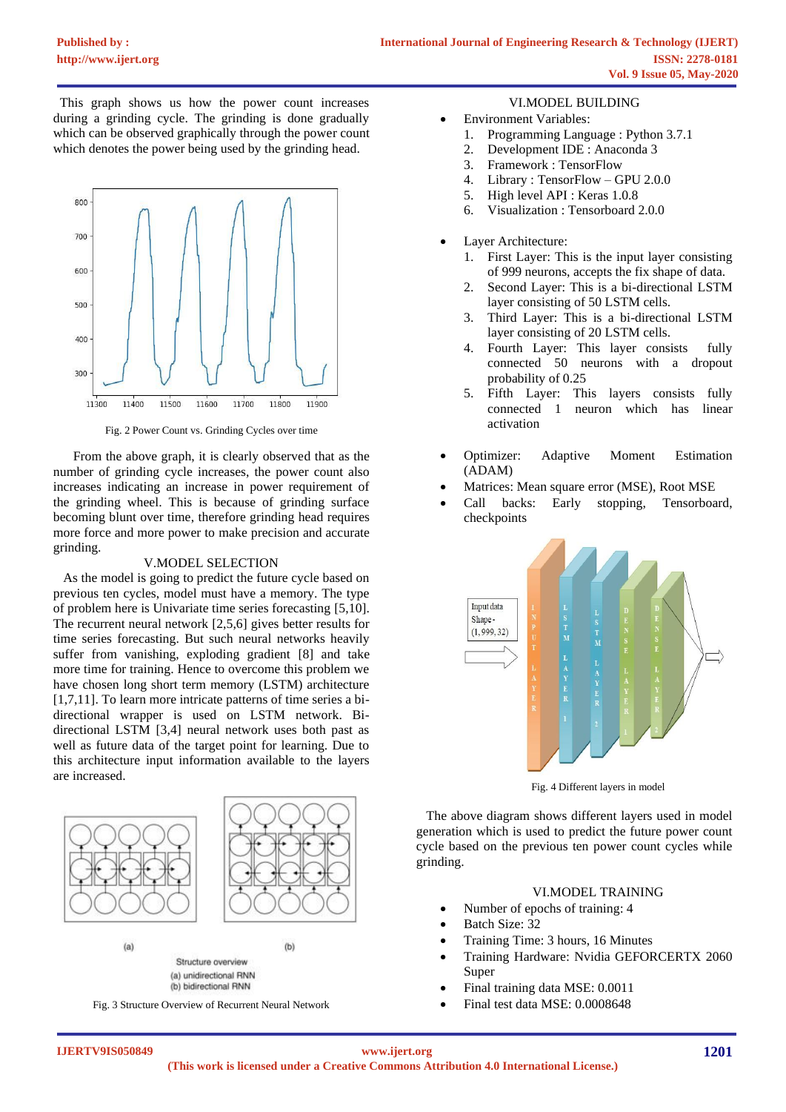This graph shows us how the power count increases during a grinding cycle. The grinding is done gradually which can be observed graphically through the power count which denotes the power being used by the grinding head.



Fig. 2 Power Count vs. Grinding Cycles over time

 From the above graph, it is clearly observed that as the number of grinding cycle increases, the power count also increases indicating an increase in power requirement of the grinding wheel. This is because of grinding surface becoming blunt over time, therefore grinding head requires more force and more power to make precision and accurate grinding.

## V.MODEL SELECTION

 As the model is going to predict the future cycle based on previous ten cycles, model must have a memory. The type of problem here is Univariate time series forecasting [5,10]. The recurrent neural network [2,5,6] gives better results for time series forecasting. But such neural networks heavily suffer from vanishing, exploding gradient [8] and take more time for training. Hence to overcome this problem we have chosen long short term memory (LSTM) architecture [1,7,11]. To learn more intricate patterns of time series a bidirectional wrapper is used on LSTM network. Bidirectional LSTM [3,4] neural network uses both past as well as future data of the target point for learning. Due to this architecture input information available to the layers are increased.



Fig. 3 Structure Overview of Recurrent Neural Network

# VI.MODEL BUILDING

- Environment Variables:
	- 1. Programming Language : Python 3.7.1
	- 2. Development IDE : Anaconda 3
	- 3. Framework : TensorFlow
	- 4. Library : TensorFlow GPU 2.0.0
	- 5. High level API : Keras 1.0.8
	- 6. Visualization : Tensorboard 2.0.0
- Layer Architecture:
	- 1. First Layer: This is the input layer consisting of 999 neurons, accepts the fix shape of data.
	- 2. Second Layer: This is a bi-directional LSTM layer consisting of 50 LSTM cells.
	- 3. Third Layer: This is a bi-directional LSTM layer consisting of 20 LSTM cells.
	- 4. Fourth Layer: This layer consists fully connected 50 neurons with a dropout probability of 0.25
	- 5. Fifth Layer: This layers consists fully connected 1 neuron which has linear activation
- Optimizer: Adaptive Moment Estimation (ADAM)
- Matrices: Mean square error (MSE), Root MSE
- Call backs: Early stopping, Tensorboard, checkpoints



Fig. 4 Different layers in model

 The above diagram shows different layers used in model generation which is used to predict the future power count cycle based on the previous ten power count cycles while grinding.

# VI.MODEL TRAINING

- Number of epochs of training: 4
- Batch Size: 32
- Training Time: 3 hours, 16 Minutes
- Training Hardware: Nvidia GEFORCERTX 2060 Super
- Final training data MSE: 0.0011
- Final test data MSE: 0.0008648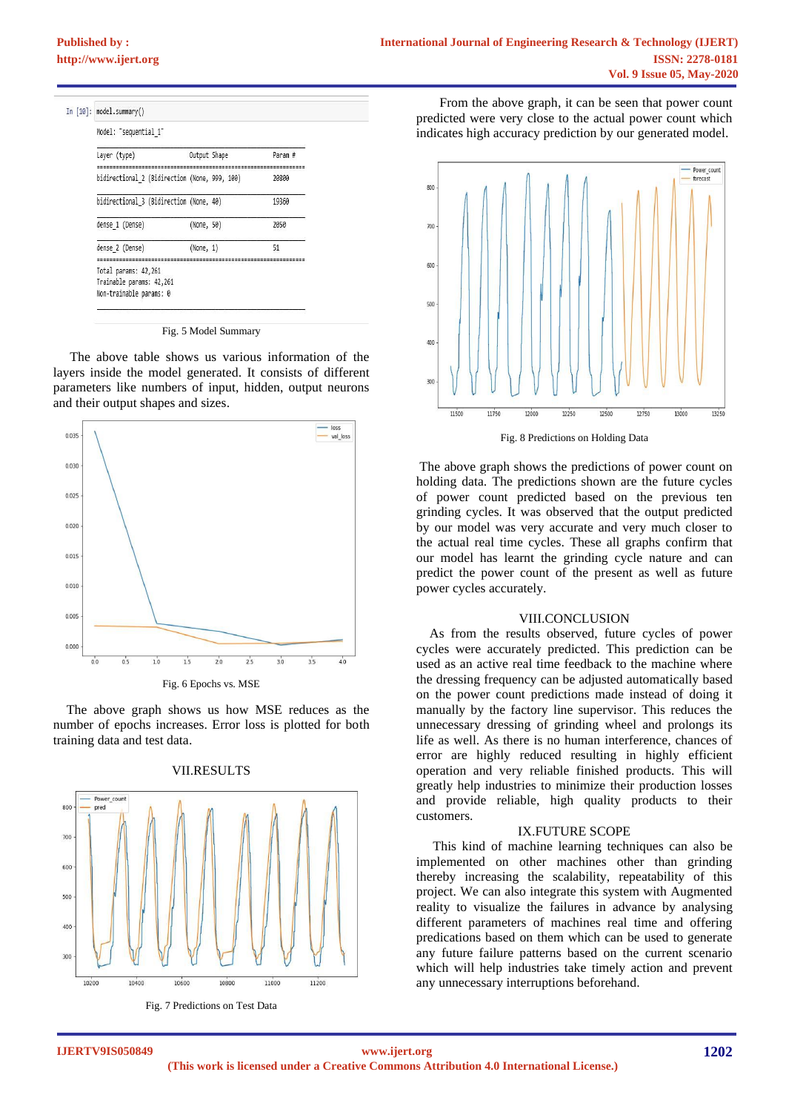| In $[10]$ : | model.summary()                                                             |              |  |         |
|-------------|-----------------------------------------------------------------------------|--------------|--|---------|
|             | Model: "sequential 1"                                                       |              |  |         |
|             | Layer (type)                                                                | Output Shape |  | Param # |
|             | bidirectional 2 (Bidirection (None, 999, 100)                               |              |  | 20800   |
|             | bidirectional 3 (Bidirection (None, 40)                                     |              |  | 19360   |
|             | dense 1 (Dense)                                                             | (None, 50)   |  | 2050    |
|             | dense 2 (Dense)                                                             | (None, 1)    |  | 51      |
|             | Total params: 42,261<br>Trainable params: 42,261<br>Non-trainable params: 0 |              |  |         |

Fig. 5 Model Summary

 The above table shows us various information of the layers inside the model generated. It consists of different parameters like numbers of input, hidden, output neurons and their output shapes and sizes.



 The above graph shows us how MSE reduces as the number of epochs increases. Error loss is plotted for both training data and test data.



#### VII.RESULTS

Fig. 7 Predictions on Test Data

 From the above graph, it can be seen that power count predicted were very close to the actual power count which indicates high accuracy prediction by our generated model.



Fig. 8 Predictions on Holding Data

The above graph shows the predictions of power count on holding data. The predictions shown are the future cycles of power count predicted based on the previous ten grinding cycles. It was observed that the output predicted by our model was very accurate and very much closer to the actual real time cycles. These all graphs confirm that our model has learnt the grinding cycle nature and can predict the power count of the present as well as future power cycles accurately.

#### VIII.CONCLUSION

 As from the results observed, future cycles of power cycles were accurately predicted. This prediction can be used as an active real time feedback to the machine where the dressing frequency can be adjusted automatically based on the power count predictions made instead of doing it manually by the factory line supervisor. This reduces the unnecessary dressing of grinding wheel and prolongs its life as well. As there is no human interference, chances of error are highly reduced resulting in highly efficient operation and very reliable finished products. This will greatly help industries to minimize their production losses and provide reliable, high quality products to their customers.

## IX.FUTURE SCOPE

 This kind of machine learning techniques can also be implemented on other machines other than grinding thereby increasing the scalability, repeatability of this project. We can also integrate this system with Augmented reality to visualize the failures in advance by analysing different parameters of machines real time and offering predications based on them which can be used to generate any future failure patterns based on the current scenario which will help industries take timely action and prevent any unnecessary interruptions beforehand.